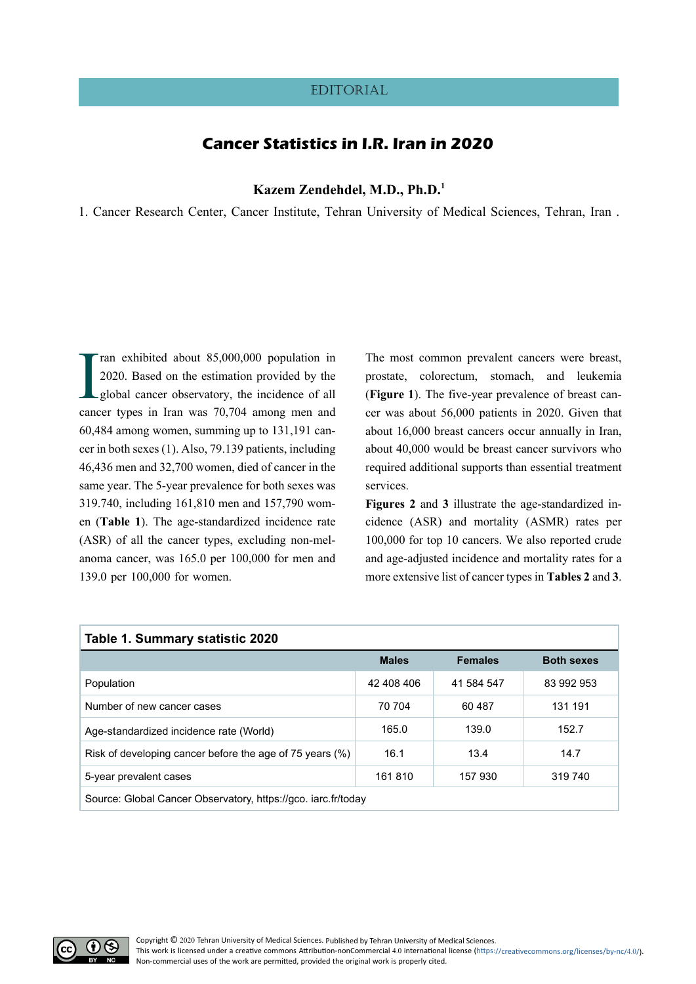## **EDITORIAL**

# **Cancer Statistics in I.R. Iran in 2020**

**Kazem Zendehdel, M.D., Ph.D[.1](#page-0-0)**

<span id="page-0-0"></span>1. Cancer Research Center, Cancer Institute, Tehran University of Medical Sciences, Tehran, Iran .

Tran exhibited about 85,000,000 population in 2020. Based on the estimation provided by the global cancer observatory, the incidence of all cancer types in Iran was 70,704 among men and ran exhibited about 85,000,000 population in 2020. Based on the estimation provided by the global cancer observatory, the incidence of all 60,484 among women, summing up to 131,191 cancer in both sexes ([1\)](#page-6-0). Also, 79.139 patients, including 46,436 men and 32,700 women, died of cancer in the same year. The 5-year prevalence for both sexes was 319.740, including 161,810 men and 157,790 women (**[Table 1](#page-0-1)**). The age-standardized incidence rate (ASR) of all the cancer types, excluding non-melanoma cancer, was 165.0 per 100,000 for men and 139.0 per 100,000 for women.

The most common prevalent cancers were breast, prostate, colorectum, stomach, and leukemia (**[Figure 1](#page-1-0)**). The five-year prevalence of breast cancer was about 56,000 patients in 2020. Given that about 16,000 breast cancers occur annually in Iran, about 40,000 would be breast cancer survivors who required additional supports than essential treatment services.

**[Figures 2](#page-1-1)** and **[3](#page-3-0)** illustrate the age-standardized incidence (ASR) and mortality (ASMR) rates per 100,000 for top 10 cancers. We also reported crude and age-adjusted incidence and mortality rates for a more extensive list of cancer types in **[Tables 2](#page-2-0)** and **[3](#page-4-0)**.

<span id="page-0-1"></span>

| Table 1. Summary statistic 2020                               |              |                |                   |  |  |  |
|---------------------------------------------------------------|--------------|----------------|-------------------|--|--|--|
|                                                               | <b>Males</b> | <b>Females</b> | <b>Both sexes</b> |  |  |  |
| Population                                                    | 42 408 406   | 41 584 547     | 83 992 953        |  |  |  |
| Number of new cancer cases                                    | 70 704       | 60487          | 131 191           |  |  |  |
| Age-standardized incidence rate (World)                       | 165.0        | 139.0          | 152.7             |  |  |  |
| Risk of developing cancer before the age of 75 years (%)      | 16.1         | 13.4           | 14.7              |  |  |  |
| 5-year prevalent cases                                        | 161810       | 157 930        | 319 740           |  |  |  |
| Source: Global Cancer Observatory, https://gco. iarc.fr/today |              |                |                   |  |  |  |

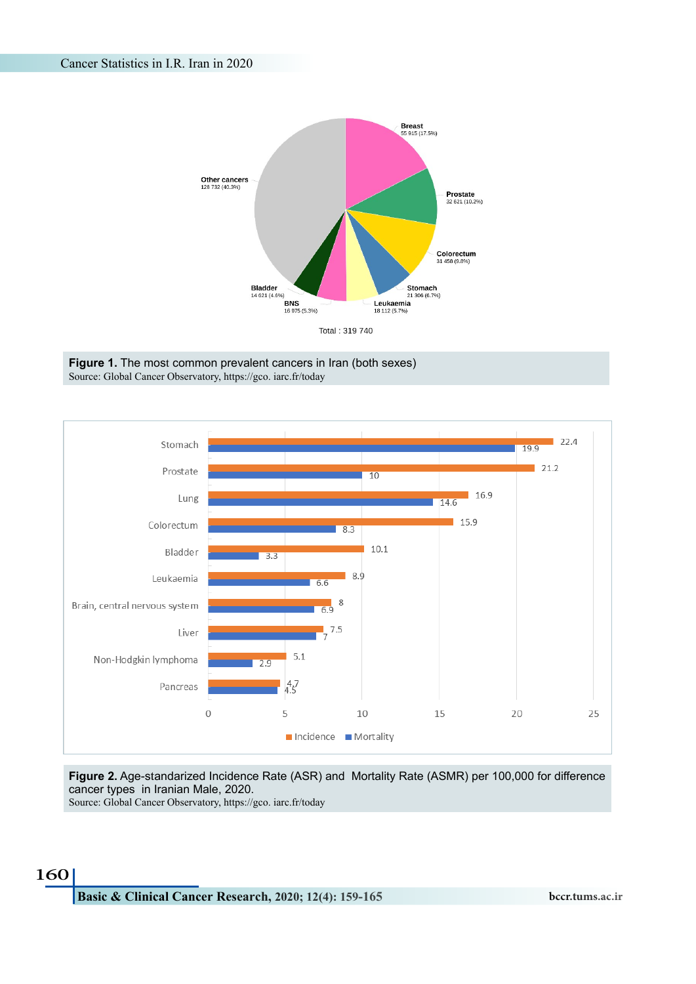

<span id="page-1-0"></span>



## <span id="page-1-1"></span>**Figure 2.** Age-standarized Incidence Rate (ASR) and Mortality Rate (ASMR) per 100,000 for difference cancer types in Iranian Male, 2020.

Source: Global Cancer Observatory, https://gco. iarc.fr/today

# 160

**Basic & Clinical Cancer Research, 2020; 12(4): 159-165 bccr.tums.ac.ir**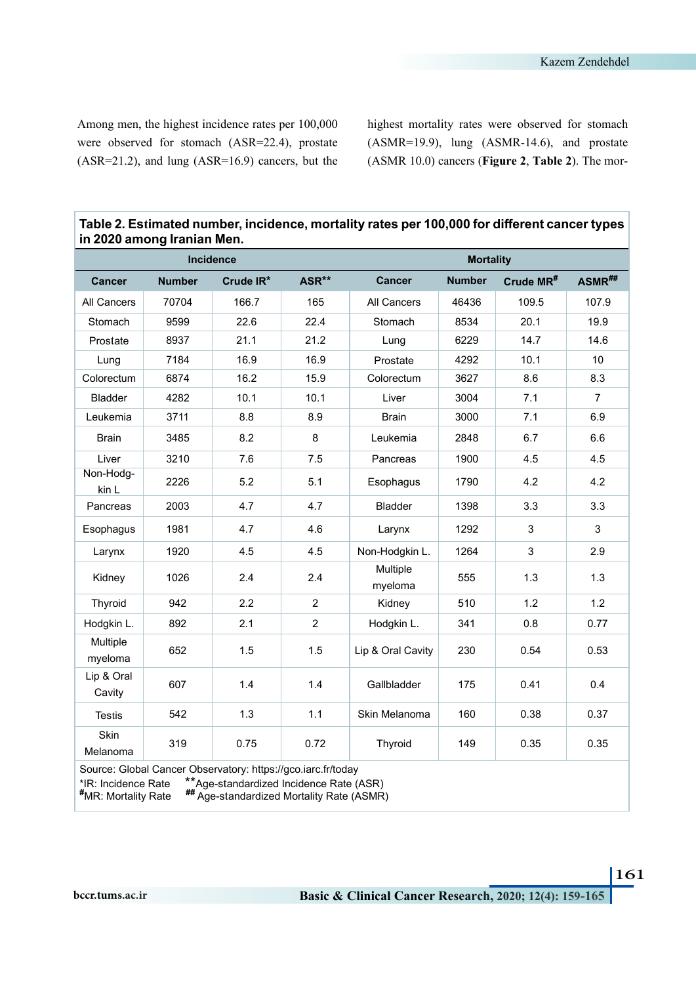Among men, the highest incidence rates per 100,000 were observed for stomach (ASR=22.4), prostate (ASR=21.2), and lung (ASR=16.9) cancers, but the highest mortality rates were observed for stomach (ASMR=19.9), lung (ASMR-14.6), and prostate (ASMR 10.0) cancers (**[Figure 2](#page-1-1)**, **[Table 2](#page-2-0)**). The mor-

| Table 2. Estimated number, incidence, mortality rates per 100,000 for different cancer types<br>in 2020 among Iranian Men. |               |           |                |                     |               |                       |                |
|----------------------------------------------------------------------------------------------------------------------------|---------------|-----------|----------------|---------------------|---------------|-----------------------|----------------|
| Incidence                                                                                                                  |               |           |                | <b>Mortality</b>    |               |                       |                |
| <b>Cancer</b>                                                                                                              | <b>Number</b> | Crude IR* | ASR**          | <b>Cancer</b>       | <b>Number</b> | Crude MR <sup>#</sup> | ASMR##         |
| <b>All Cancers</b>                                                                                                         | 70704         | 166.7     | 165            | All Cancers         | 46436         | 109.5                 | 107.9          |
| Stomach                                                                                                                    | 9599          | 22.6      | 22.4           | Stomach             | 8534          | 20.1                  | 19.9           |
| Prostate                                                                                                                   | 8937          | 21.1      | 21.2           | Lung                | 6229          | 14.7                  | 14.6           |
| Lung                                                                                                                       | 7184          | 16.9      | 16.9           | Prostate            | 4292          | 10.1                  | 10             |
| Colorectum                                                                                                                 | 6874          | 16.2      | 15.9           | Colorectum          | 3627          | 8.6                   | 8.3            |
| <b>Bladder</b>                                                                                                             | 4282          | 10.1      | 10.1           | Liver               | 3004          | 7.1                   | $\overline{7}$ |
| Leukemia                                                                                                                   | 3711          | 8.8       | 8.9            | <b>Brain</b>        | 3000          | 7.1                   | 6.9            |
| <b>Brain</b>                                                                                                               | 3485          | 8.2       | 8              | Leukemia            | 2848          | 6.7                   | 6.6            |
| Liver                                                                                                                      | 3210          | 7.6       | 7.5            | Pancreas            | 1900          | 4.5                   | 4.5            |
| Non-Hodg-<br>kin L                                                                                                         | 2226          | 5.2       | 5.1            | Esophagus           | 1790          | 4.2                   | 4.2            |
| Pancreas                                                                                                                   | 2003          | 4.7       | 4.7            | <b>Bladder</b>      | 1398          | 3.3                   | 3.3            |
| Esophagus                                                                                                                  | 1981          | 4.7       | 4.6            | Larynx              | 1292          | 3                     | 3              |
| Larynx                                                                                                                     | 1920          | 4.5       | 4.5            | Non-Hodgkin L.      | 1264          | 3                     | 2.9            |
| Kidney                                                                                                                     | 1026          | 2.4       | 2.4            | Multiple<br>myeloma | 555           | 1.3                   | 1.3            |
| Thyroid                                                                                                                    | 942           | 2.2       | 2              | Kidney              | 510           | 1.2                   | 1.2            |
| Hodgkin L.                                                                                                                 | 892           | 2.1       | $\overline{c}$ | Hodgkin L.          | 341           | 0.8                   | 0.77           |
| Multiple                                                                                                                   | 652           | 1.5       | 1.5            | Lip & Oral Cavity   | 230           | 0.54                  | 0.53           |

607 1.4 1.4 Gallbladder 175 0.41 0.4

319 0.75 0.72 Thyroid 149 0.35 0.35

Testis 542 1.3 1.1 Skin Melanoma 160 0.38 0.37

<span id="page-2-0"></span>**Table 2. Estimated number, incidence, mortality rates per 100,000 for different cancer types** 

Source: Global Cancer Observatory: https://gco.iarc.fr/today

\*IR: Incidence Rate \*\*Age-standardized Incidence Rate (ASR)

**#MR: Mortality Rate** 

MR: Mortality Rate **##** Age-standardized Mortality Rate (ASMR)

myeloma

Lip & Oral **Cavity** 

Skin Melanoma

161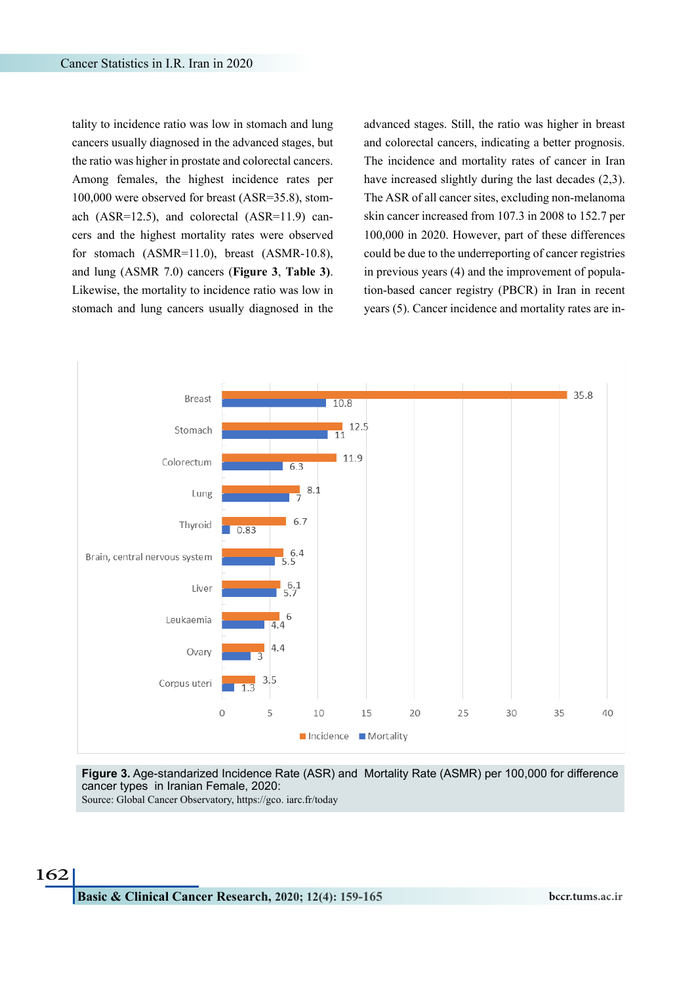tality to incidence ratio was low in stomach and lung cancers usually diagnosed in the advanced stages, but the ratio was higher in prostate and colorectal cancers. Among females, the highest incidence rates per 100,000 were observed for breast (ASR=35.8), stomach (ASR=12.5), and colorectal (ASR=11.9) cancers and the highest mortality rates were observed for stomach (ASMR=11.0), breast (ASMR-10.8), and lung (ASMR 7.0) cancers (**[Figure 3](#page-3-0)**, **[Table 3\)](#page-4-0)**. Likewise, the mortality to incidence ratio was low in stomach and lung cancers usually diagnosed in the advanced stages. Still, the ratio was higher in breast and colorectal cancers, indicating a better prognosis. The incidence and mortality rates of cancer in Iran have increased slightly during the last decades ([2,](#page-6-1)[3\)](#page-6-2). The ASR of all cancer sites, excluding non-melanoma skin cancer increased from 107.3 in 2008 to 152.7 per 100,000 in 2020. However, part of these differences could be due to the underreporting of cancer registries in previous years ([4](#page-6-3)) and the improvement of population-based cancer registry (PBCR) in Iran in recent years [\(5\)](#page-6-4). Cancer incidence and mortality rates are in-



<span id="page-3-0"></span>**Figure 3.** Age-standarized Incidence Rate (ASR) and Mortality Rate (ASMR) per 100,000 for difference cancer types in Iranian Female, 2020:

Source: Global Cancer Observatory, https://gco. iarc.fr/today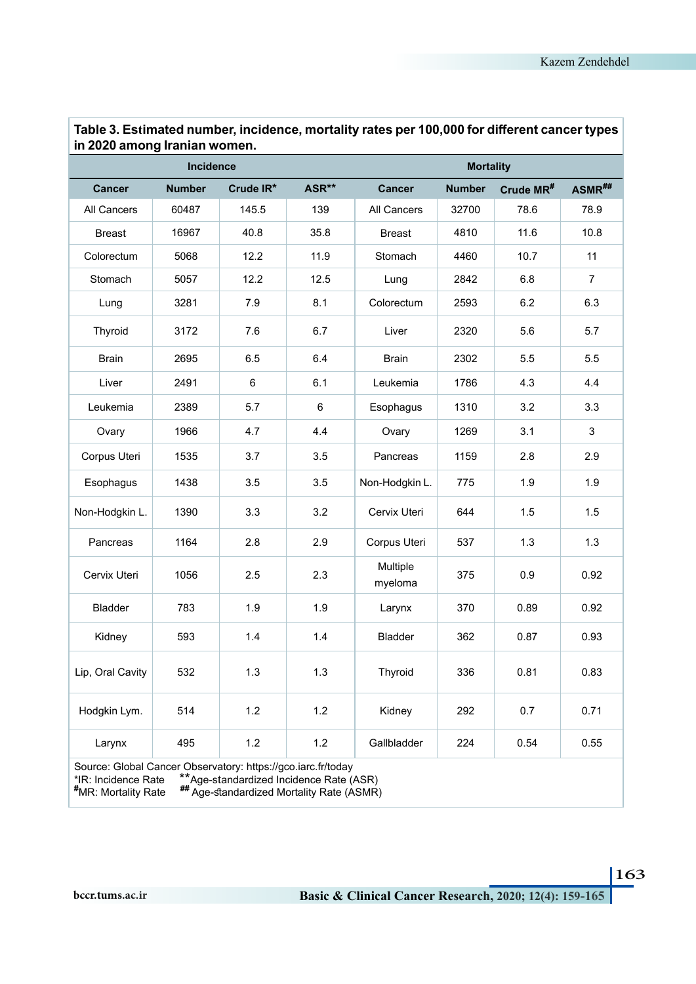| Incidence                                                                                                  |               |                                                                                      |       |                     | <b>Mortality</b> |                       |                |
|------------------------------------------------------------------------------------------------------------|---------------|--------------------------------------------------------------------------------------|-------|---------------------|------------------|-----------------------|----------------|
| <b>Cancer</b>                                                                                              | <b>Number</b> | Crude IR*                                                                            | ASR** | <b>Cancer</b>       | <b>Number</b>    | Crude MR <sup>#</sup> | ASMR##         |
| All Cancers                                                                                                | 60487         | 145.5                                                                                | 139   | All Cancers         | 32700            | 78.6                  | 78.9           |
| <b>Breast</b>                                                                                              | 16967         | 40.8                                                                                 | 35.8  | <b>Breast</b>       | 4810             | 11.6                  | 10.8           |
| Colorectum                                                                                                 | 5068          | 12.2                                                                                 | 11.9  | Stomach             | 4460             | 10.7                  | 11             |
| Stomach                                                                                                    | 5057          | 12.2                                                                                 | 12.5  | Lung                | 2842             | 6.8                   | $\overline{7}$ |
| Lung                                                                                                       | 3281          | 7.9                                                                                  | 8.1   | Colorectum          | 2593             | 6.2                   | 6.3            |
| Thyroid                                                                                                    | 3172          | 7.6                                                                                  | 6.7   | Liver               | 2320             | 5.6                   | 5.7            |
| <b>Brain</b>                                                                                               | 2695          | 6.5                                                                                  | 6.4   | <b>Brain</b>        | 2302             | 5.5                   | 5.5            |
| Liver                                                                                                      | 2491          | 6                                                                                    | 6.1   | Leukemia            | 1786             | 4.3                   | 4.4            |
| Leukemia                                                                                                   | 2389          | 5.7                                                                                  | 6     | Esophagus           | 1310             | 3.2                   | 3.3            |
| Ovary                                                                                                      | 1966          | 4.7                                                                                  | 4.4   | Ovary               | 1269             | 3.1                   | 3              |
| Corpus Uteri                                                                                               | 1535          | 3.7                                                                                  | 3.5   | Pancreas            | 1159             | 2.8                   | 2.9            |
| Esophagus                                                                                                  | 1438          | 3.5                                                                                  | 3.5   | Non-Hodgkin L.      | 775              | 1.9                   | 1.9            |
| Non-Hodgkin L.                                                                                             | 1390          | 3.3                                                                                  | 3.2   | Cervix Uteri        | 644              | 1.5                   | 1.5            |
| Pancreas                                                                                                   | 1164          | 2.8                                                                                  | 2.9   | Corpus Uteri        | 537              | 1.3                   | 1.3            |
| Cervix Uteri                                                                                               | 1056          | 2.5                                                                                  | 2.3   | Multiple<br>myeloma | 375              | 0.9                   | 0.92           |
| Bladder                                                                                                    | 783           | 1.9                                                                                  | 1.9   | Larynx              | 370              | 0.89                  | 0.92           |
| Kidney                                                                                                     | 593           | 1.4                                                                                  | 1.4   | <b>Bladder</b>      | 362              | 0.87                  | 0.93           |
| Lip, Oral Cavity                                                                                           | 532           | 1.3                                                                                  | 1.3   | Thyroid             | 336              | 0.81                  | 0.83           |
| Hodgkin Lym.                                                                                               | 514           | 1.2                                                                                  | $1.2$ | Kidney              | 292              | 0.7                   | 0.71           |
| Larynx                                                                                                     | 495           | 1.2                                                                                  | $1.2$ | Gallbladder         | 224              | 0.54                  | 0.55           |
| Source: Global Cancer Observatory: https://gco.iarc.fr/today<br>*IR: Incidence Rate<br>#MR: Mortality Rate |               | **Age-standardized Incidence Rate (ASR)<br>## Age-standardized Mortality Rate (ASMR) |       |                     |                  |                       |                |

<span id="page-4-0"></span>**Table 3. Estimated number, incidence, mortality rates per 100,000 for different cancer types in 2020 among Iranian women.**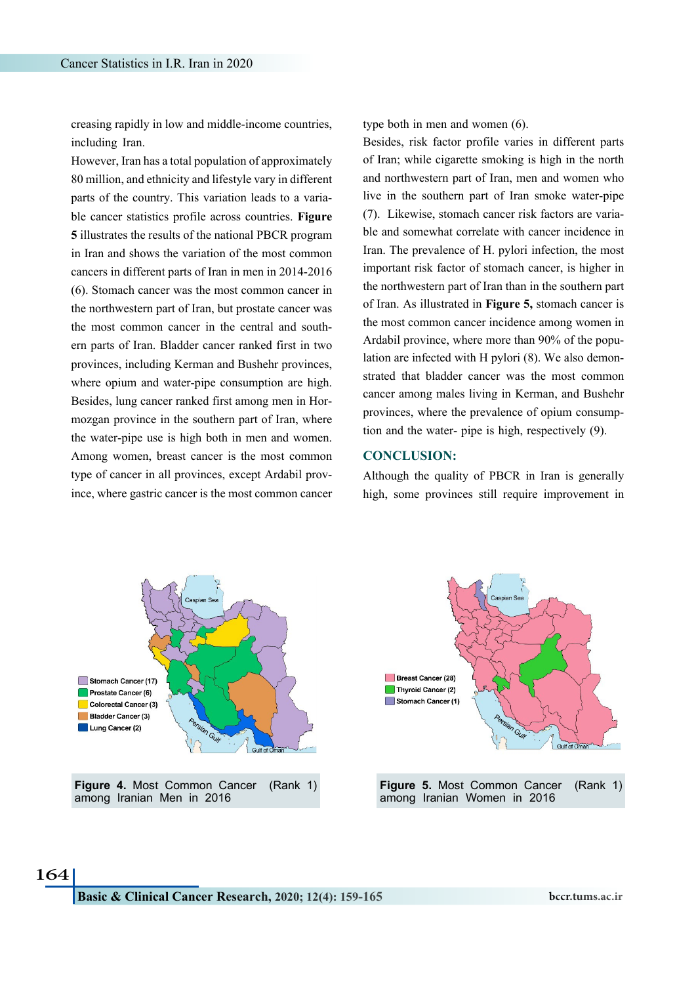creasing rapidly in low and middle-income countries, including Iran.

However, Iran has a total population of approximately 80 million, and ethnicity and lifestyle vary in different parts of the country. This variation leads to a variable cancer statistics profile across countries. **[Figure](#page-5-0) [5](#page-5-1)** illustrates the results of the national PBCR program in Iran and shows the variation of the most common cancers in different parts of Iran in men in 2014-2016 [\(6\)](#page-6-5). Stomach cancer was the most common cancer in the northwestern part of Iran, but prostate cancer was the most common cancer in the central and southern parts of Iran. Bladder cancer ranked first in two provinces, including Kerman and Bushehr provinces, where opium and water-pipe consumption are high. Besides, lung cancer ranked first among men in Hormozgan province in the southern part of Iran, where the water-pipe use is high both in men and women. Among women, breast cancer is the most common type of cancer in all provinces, except Ardabil province, where gastric cancer is the most common cancer type both in men and women [\(6](#page-6-5)).

Besides, risk factor profile varies in different parts of Iran; while cigarette smoking is high in the north and northwestern part of Iran, men and women who live in the southern part of Iran smoke water-pipe [\(7](#page-6-6)). Likewise, stomach cancer risk factors are variable and somewhat correlate with cancer incidence in Iran. The prevalence of H. pylori infection, the most important risk factor of stomach cancer, is higher in the northwestern part of Iran than in the southern part of Iran. As illustrated in **[Figure 5](#page-5-1),** stomach cancer is the most common cancer incidence among women in Ardabil province, where more than 90% of the population are infected with H pylori [\(8\)](#page-6-7). We also demonstrated that bladder cancer was the most common cancer among males living in Kerman, and Bushehr provinces, where the prevalence of opium consumption and the water- pipe is high, respectively [\(9](#page-6-8)).

## **CONCLUSION:**

Although the quality of PBCR in Iran is generally high, some provinces still require improvement in

<span id="page-5-0"></span>

<span id="page-5-1"></span>